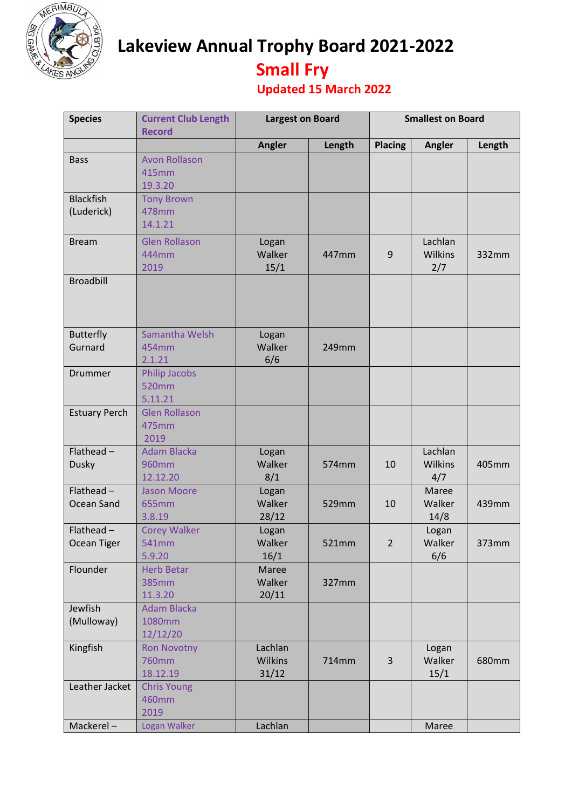

**Lakeview Annual Trophy Board 2021-2022** 

## **Small Fry**

## **Updated 15 March 2022**

| <b>Species</b>                    | <b>Current Club Length</b><br><b>Record</b>  | <b>Largest on Board</b>            |        | <b>Smallest on Board</b> |                           |        |
|-----------------------------------|----------------------------------------------|------------------------------------|--------|--------------------------|---------------------------|--------|
|                                   |                                              | <b>Angler</b>                      | Length | <b>Placing</b>           | Angler                    | Length |
| <b>Bass</b>                       | <b>Avon Rollason</b><br>415mm<br>19.3.20     |                                    |        |                          |                           |        |
| <b>Blackfish</b><br>(Luderick)    | <b>Tony Brown</b><br>478mm<br>14.1.21        |                                    |        |                          |                           |        |
| <b>Bream</b>                      | <b>Glen Rollason</b><br>444mm<br>2019        | Logan<br>Walker<br>15/1            | 447mm  | 9                        | Lachlan<br>Wilkins<br>2/7 | 332mm  |
| <b>Broadbill</b>                  |                                              |                                    |        |                          |                           |        |
| <b>Butterfly</b><br>Gurnard       | Samantha Welsh<br>454mm<br>2.1.21            | Logan<br>Walker<br>6/6             | 249mm  |                          |                           |        |
| Drummer                           | <b>Philip Jacobs</b><br>520mm<br>5.11.21     |                                    |        |                          |                           |        |
| <b>Estuary Perch</b>              | <b>Glen Rollason</b><br>475mm<br>2019        |                                    |        |                          |                           |        |
| Flathead $-$<br><b>Dusky</b>      | <b>Adam Blacka</b><br>960mm<br>12.12.20      | Logan<br>Walker<br>8/1             | 574mm  | 10                       | Lachlan<br>Wilkins<br>4/7 | 405mm  |
| Flathead $-$<br><b>Ocean Sand</b> | <b>Jason Moore</b><br>655mm<br>3.8.19        | Logan<br>Walker<br>28/12           | 529mm  | 10                       | Maree<br>Walker<br>14/8   | 439mm  |
| $Flathead -$<br>Ocean Tiger       | <b>Corey Walker</b><br>541mm<br>5.9.20       | Logan<br>Walker<br>16/1            | 521mm  | $\overline{2}$           | Logan<br>Walker<br>6/6    | 373mm  |
| Flounder                          | <b>Herb Betar</b><br><b>385mm</b><br>11.3.20 | Maree<br>Walker<br>20/11           | 327mm  |                          |                           |        |
| Jewfish<br>(Mulloway)             | <b>Adam Blacka</b><br>1080mm<br>12/12/20     |                                    |        |                          |                           |        |
| Kingfish                          | <b>Ron Novotny</b><br>760mm<br>18.12.19      | Lachlan<br><b>Wilkins</b><br>31/12 | 714mm  | $\overline{3}$           | Logan<br>Walker<br>15/1   | 680mm  |
| Leather Jacket                    | <b>Chris Young</b><br>460mm<br>2019          |                                    |        |                          |                           |        |
| Mackerel-                         | Logan Walker                                 | Lachlan                            |        |                          | Maree                     |        |